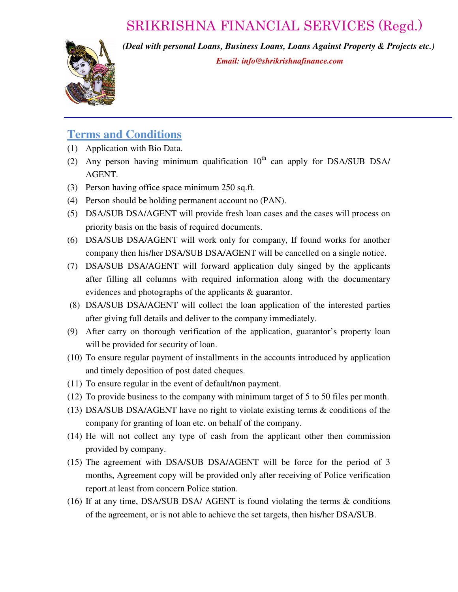## SRIKRISHNA FINANCIAL SERVICES (Regd.)



*(Deal with personal Loans, Business Loans, Loans Against Property & Projects etc.) Email: info@shrikrishnafinance.com*

#### **Terms and Conditions**

- (1) Application with Bio Data.
- (2) Any person having minimum qualification  $10<sup>th</sup>$  can apply for DSA/SUB DSA/ AGENT.
- (3) Person having office space minimum 250 sq.ft.
- (4) Person should be holding permanent account no (PAN).
- (5) DSA/SUB DSA/AGENT will provide fresh loan cases and the cases will process on priority basis on the basis of required documents.
- (6) DSA/SUB DSA/AGENT will work only for company, If found works for another company then his/her DSA/SUB DSA/AGENT will be cancelled on a single notice.
- (7) DSA/SUB DSA/AGENT will forward application duly singed by the applicants after filling all columns with required information along with the documentary evidences and photographs of the applicants & guarantor.
- (8) DSA/SUB DSA/AGENT will collect the loan application of the interested parties after giving full details and deliver to the company immediately.
- (9) After carry on thorough verification of the application, guarantor's property loan will be provided for security of loan.
- (10) To ensure regular payment of installments in the accounts introduced by application and timely deposition of post dated cheques.
- (11) To ensure regular in the event of default/non payment.
- (12) To provide business to the company with minimum target of 5 to 50 files per month.
- (13) DSA/SUB DSA/AGENT have no right to violate existing terms & conditions of the company for granting of loan etc. on behalf of the company.
- (14) He will not collect any type of cash from the applicant other then commission provided by company.
- (15) The agreement with DSA/SUB DSA/AGENT will be force for the period of 3 months, Agreement copy will be provided only after receiving of Police verification report at least from concern Police station.
- (16) If at any time, DSA/SUB DSA/ AGENT is found violating the terms & conditions of the agreement, or is not able to achieve the set targets, then his/her DSA/SUB.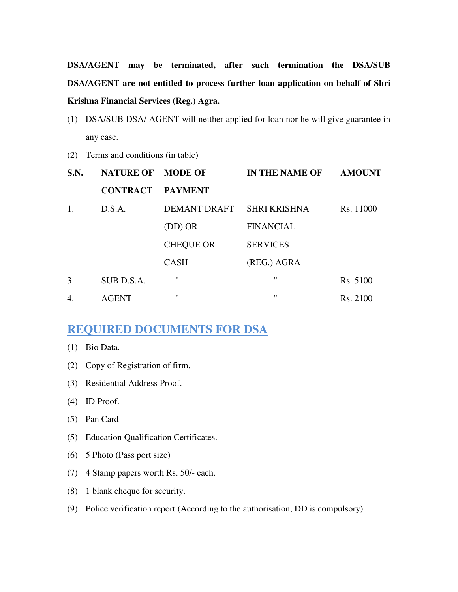**DSA/AGENT may be terminated, after such termination the DSA/SUB DSA/AGENT are not entitled to process further loan application on behalf of Shri Krishna Financial Services (Reg.) Agra.** 

- (1) DSA/SUB DSA/ AGENT will neither applied for loan nor he will give guarantee in any case.
- (2) Terms and conditions (in table)

| S.N. | NATURE OF MODE OF |                           | <b>IN THE NAME OF</b> | <b>AMOUNT</b> |
|------|-------------------|---------------------------|-----------------------|---------------|
|      | <b>CONTRACT</b>   | PAYMENT                   |                       |               |
| 1.   | D.S.A.            | DEMANT DRAFT SHRI KRISHNA |                       | Rs. 11000     |
|      |                   | $(DD)$ OR                 | <b>FINANCIAL</b>      |               |
|      |                   | <b>CHEQUE OR</b>          | <b>SERVICES</b>       |               |
|      |                   | <b>CASH</b>               | (REG.) AGRA           |               |
| 3.   | SUB D.S.A.        | $^{\prime\prime}$         | $^{\prime}$           | Rs. 5100      |
| 4.   | <b>AGENT</b>      | $^{\prime\prime}$         | $^{\prime\prime}$     | Rs. 2100      |

#### **REQUIRED DOCUMENTS FOR DSA**

- (1) Bio Data.
- (2) Copy of Registration of firm.
- (3) Residential Address Proof.
- (4) ID Proof.
- (5) Pan Card
- (5) Education Qualification Certificates.
- (6) 5 Photo (Pass port size)
- (7) 4 Stamp papers worth Rs. 50/- each.
- (8) 1 blank cheque for security.
- (9) Police verification report (According to the authorisation, DD is compulsory)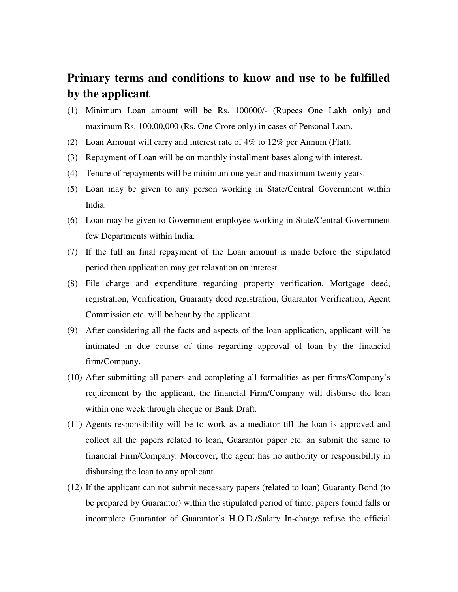### **Primary terms and conditions to know and use to be fulfilled by the applicant**

- (1) Minimum Loan amount will be Rs. 100000/- (Rupees One Lakh only) and maximum Rs. 100,00,000 (Rs. One Crore only) in cases of Personal Loan.
- (2) Loan Amount will carry and interest rate of 4% to 12% per Annum (Flat).
- (3) Repayment of Loan will be on monthly installment bases along with interest.
- (4) Tenure of repayments will be minimum one year and maximum twenty years.
- (5) Loan may be given to any person working in State/Central Government within India.
- (6) Loan may be given to Government employee working in State/Central Government few Departments within India.
- (7) If the full an final repayment of the Loan amount is made before the stipulated period then application may get relaxation on interest.
- (8) File charge and expenditure regarding property verification, Mortgage deed, registration, Verification, Guaranty deed registration, Guarantor Verification, Agent Commission etc. will be bear by the applicant.
- (9) After considering all the facts and aspects of the loan application, applicant will be intimated in due course of time regarding approval of loan by the financial firm/Company.
- (10) After submitting all papers and completing all formalities as per firms/Company's requirement by the applicant, the financial Firm/Company will disburse the loan within one week through cheque or Bank Draft.
- (11) Agents responsibility will be to work as a mediator till the loan is approved and collect all the papers related to loan, Guarantor paper etc. an submit the same to financial Firm/Company. Moreover, the agent has no authority or responsibility in disbursing the loan to any applicant.
- (12) If the applicant can not submit necessary papers (related to loan) Guaranty Bond (to be prepared by Guarantor) within the stipulated period of time, papers found falls or incomplete Guarantor of Guarantor's H.O.D./Salary In-charge refuse the official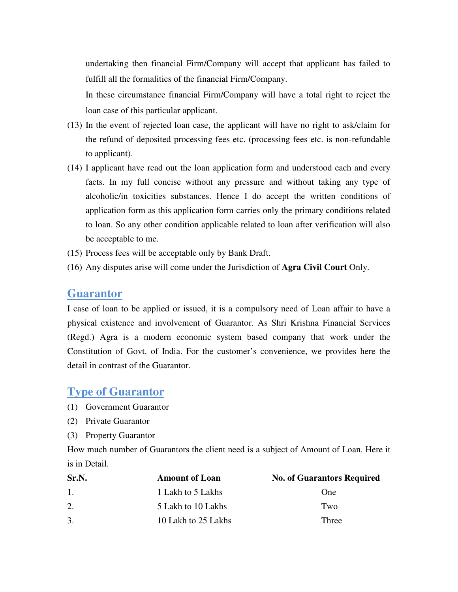undertaking then financial Firm/Company will accept that applicant has failed to fulfill all the formalities of the financial Firm/Company.

 In these circumstance financial Firm/Company will have a total right to reject the loan case of this particular applicant.

- (13) In the event of rejected loan case, the applicant will have no right to ask/claim for the refund of deposited processing fees etc. (processing fees etc. is non-refundable to applicant).
- (14) I applicant have read out the loan application form and understood each and every facts. In my full concise without any pressure and without taking any type of alcoholic/in toxicities substances. Hence I do accept the written conditions of application form as this application form carries only the primary conditions related to loan. So any other condition applicable related to loan after verification will also be acceptable to me.
- (15) Process fees will be acceptable only by Bank Draft.
- (16) Any disputes arise will come under the Jurisdiction of **Agra Civil Court** Only.

#### **Guarantor**

I case of loan to be applied or issued, it is a compulsory need of Loan affair to have a physical existence and involvement of Guarantor. As Shri Krishna Financial Services (Regd.) Agra is a modern economic system based company that work under the Constitution of Govt. of India. For the customer's convenience, we provides here the detail in contrast of the Guarantor.

#### **Type of Guarantor**

- (1) Government Guarantor
- (2) Private Guarantor
- (3) Property Guarantor

How much number of Guarantors the client need is a subject of Amount of Loan. Here it is in Detail.

| Sr.N. | <b>Amount of Loan</b> | <b>No. of Guarantors Required</b> |
|-------|-----------------------|-----------------------------------|
| 1.    | 1 Lakh to 5 Lakhs     | One                               |
| 2.    | 5 Lakh to 10 Lakhs    | Two                               |
| 3.    | 10 Lakh to 25 Lakhs   | Three                             |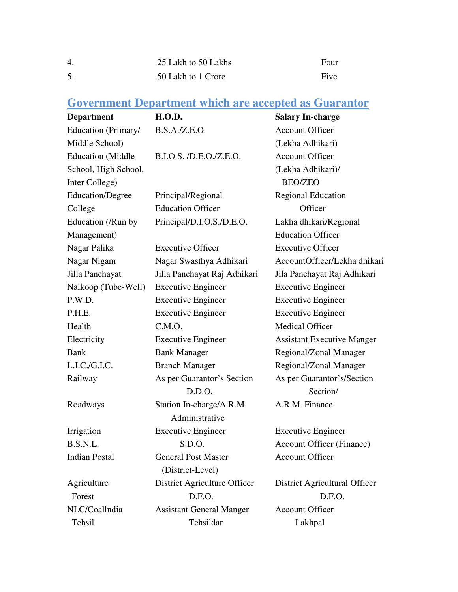| $\overline{4}$ . | 25 Lakh to 50 Lakhs | Four |
|------------------|---------------------|------|
|                  | 50 Lakh to 1 Crore  | Five |

## **Government Department which are accepted as Guarantor**

| <b>Department</b>        | <b>H.O.D.</b>                   | <b>Salary In-charge</b>           |
|--------------------------|---------------------------------|-----------------------------------|
| Education (Primary/      | B.S.A./Z.E.O.                   | <b>Account Officer</b>            |
| Middle School)           |                                 | (Lekha Adhikari)                  |
| <b>Education</b> (Middle | B.I.O.S. /D.E.O./Z.E.O.         | <b>Account Officer</b>            |
| School, High School,     |                                 | (Lekha Adhikari)/                 |
| Inter College)           |                                 | <b>BEO/ZEO</b>                    |
| <b>Education/Degree</b>  | Principal/Regional              | <b>Regional Education</b>         |
| College                  | <b>Education Officer</b>        | Officer                           |
| Education (/Run by       | Principal/D.I.O.S./D.E.O.       | Lakha dhikari/Regional            |
| Management)              |                                 | <b>Education Officer</b>          |
| Nagar Palika             | <b>Executive Officer</b>        | <b>Executive Officer</b>          |
| Nagar Nigam              | Nagar Swasthya Adhikari         | AccountOfficer/Lekha dhikari      |
| Jilla Panchayat          | Jilla Panchayat Raj Adhikari    | Jila Panchayat Raj Adhikari       |
| Nalkoop (Tube-Well)      | <b>Executive Engineer</b>       | <b>Executive Engineer</b>         |
| P.W.D.                   | <b>Executive Engineer</b>       | <b>Executive Engineer</b>         |
| P.H.E.                   | <b>Executive Engineer</b>       | <b>Executive Engineer</b>         |
| Health                   | C.M.O.                          | <b>Medical Officer</b>            |
| Electricity              | <b>Executive Engineer</b>       | <b>Assistant Executive Manger</b> |
| <b>Bank</b>              | <b>Bank Manager</b>             | Regional/Zonal Manager            |
| L.I.C./G.I.C.            | <b>Branch Manager</b>           | Regional/Zonal Manager            |
| Railway                  | As per Guarantor's Section      | As per Guarantor's/Section        |
|                          | D.D.O.                          | Section/                          |
| Roadways                 | Station In-charge/A.R.M.        | A.R.M. Finance                    |
|                          | Administrative                  |                                   |
| Irrigation               | <b>Executive Engineer</b>       | <b>Executive Engineer</b>         |
| B.S.N.L.                 | S.D.O.                          | <b>Account Officer (Finance)</b>  |
| <b>Indian Postal</b>     | <b>General Post Master</b>      | <b>Account Officer</b>            |
|                          | (District-Level)                |                                   |
| Agriculture              | District Agriculture Officer    | District Agricultural Officer     |
| Forest                   | D.F.O.                          | D.F.O.                            |
| NLC/Coallndia            | <b>Assistant General Manger</b> | <b>Account Officer</b>            |
| Tehsil                   | Tehsildar                       | Lakhpal                           |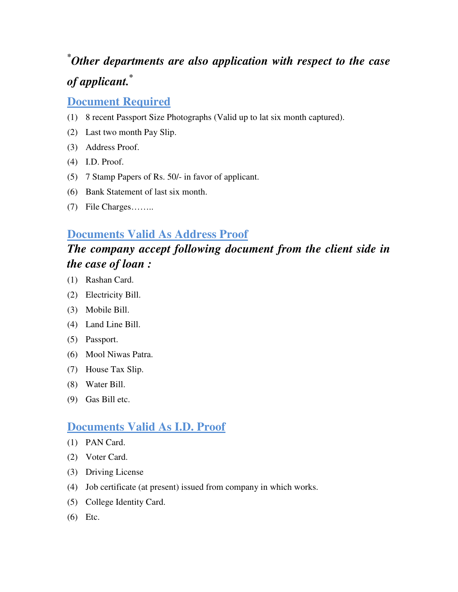## **\****Other departments are also application with respect to the case of applicant.***\***

#### **Document Required**

- (1) 8 recent Passport Size Photographs (Valid up to lat six month captured).
- (2) Last two month Pay Slip.
- (3) Address Proof.
- (4) I.D. Proof.
- (5) 7 Stamp Papers of Rs. 50/- in favor of applicant.
- (6) Bank Statement of last six month.
- (7) File Charges……..

#### **Documents Valid As Address Proof**

## *The company accept following document from the client side in the case of loan :*

- (1) Rashan Card.
- (2) Electricity Bill.
- (3) Mobile Bill.
- (4) Land Line Bill.
- (5) Passport.
- (6) Mool Niwas Patra.
- (7) House Tax Slip.
- (8) Water Bill.
- (9) Gas Bill etc.

#### **Documents Valid As I.D. Proof**

- (1) PAN Card.
- (2) Voter Card.
- (3) Driving License
- (4) Job certificate (at present) issued from company in which works.
- (5) College Identity Card.
- (6) Etc.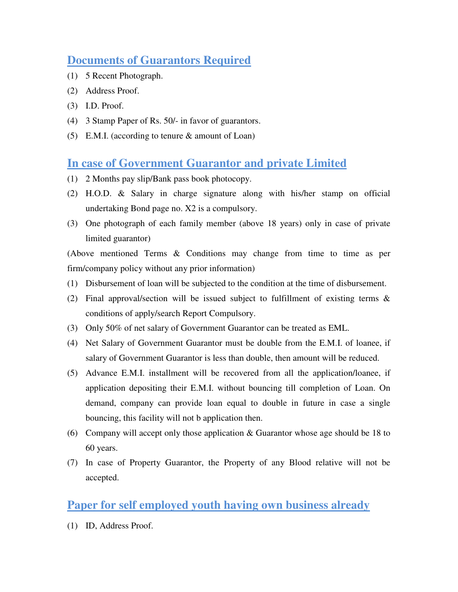### **Documents of Guarantors Required**

- (1) 5 Recent Photograph.
- (2) Address Proof.
- (3) I.D. Proof.
- (4) 3 Stamp Paper of Rs. 50/- in favor of guarantors.
- (5) E.M.I. (according to tenure & amount of Loan)

#### **In case of Government Guarantor and private Limited**

- (1) 2 Months pay slip/Bank pass book photocopy.
- (2) H.O.D. & Salary in charge signature along with his/her stamp on official undertaking Bond page no. X2 is a compulsory.
- (3) One photograph of each family member (above 18 years) only in case of private limited guarantor)

(Above mentioned Terms & Conditions may change from time to time as per firm/company policy without any prior information)

- (1) Disbursement of loan will be subjected to the condition at the time of disbursement.
- (2) Final approval/section will be issued subject to fulfillment of existing terms & conditions of apply/search Report Compulsory.
- (3) Only 50% of net salary of Government Guarantor can be treated as EML.
- (4) Net Salary of Government Guarantor must be double from the E.M.I. of loanee, if salary of Government Guarantor is less than double, then amount will be reduced.
- (5) Advance E.M.I. installment will be recovered from all the application/loanee, if application depositing their E.M.I. without bouncing till completion of Loan. On demand, company can provide loan equal to double in future in case a single bouncing, this facility will not b application then.
- (6) Company will accept only those application & Guarantor whose age should be 18 to 60 years.
- (7) In case of Property Guarantor, the Property of any Blood relative will not be accepted.

#### **Paper for self employed youth having own business already**

(1) ID, Address Proof.